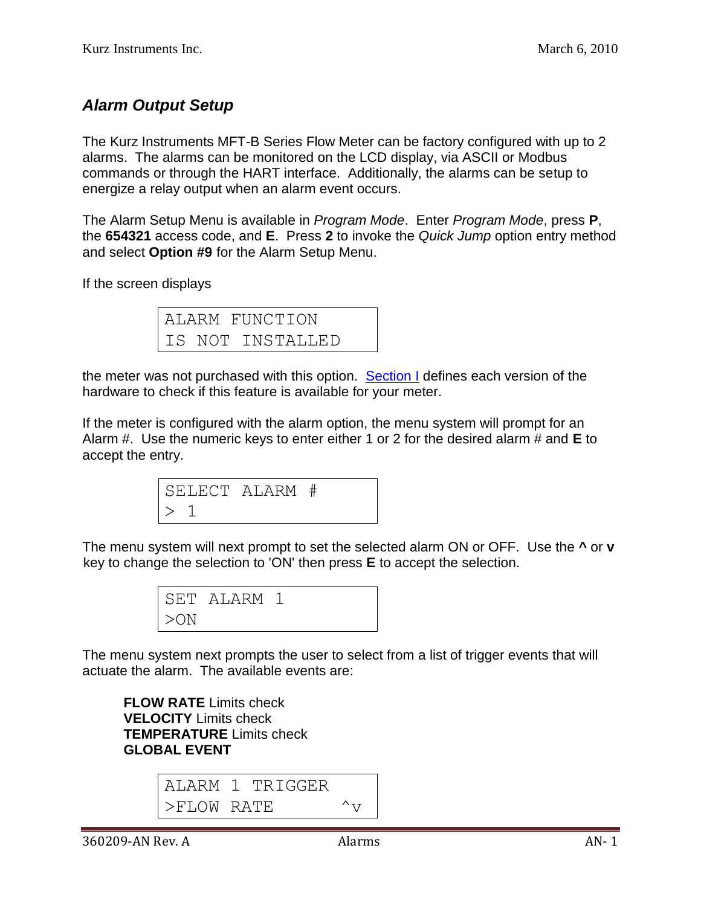## *Alarm Output Setup*

The Kurz Instruments MFT-B Series Flow Meter can be factory configured with up to 2 alarms. The alarms can be monitored on the LCD display, via ASCII or Modbus commands or through the HART interface. Additionally, the alarms can be setup to energize a relay output when an alarm event occurs.

The Alarm Setup Menu is available in *Program Mode*. Enter *Program Mode*, press **P**, the **654321** access code, and **E**. Press **2** to invoke the *Quick Jump* option entry method and select **Option #9** for the Alarm Setup Menu.

If the screen displays

ALARM FUNCTION IS NOT INSTALLED

the meter was not purchased with this option. [Section I](360209-I%20SC%20board%20versions.pdf) defines each version of the hardware to check if this feature is available for your meter.

If the meter is configured with the alarm option, the menu system will prompt for an Alarm #. Use the numeric keys to enter either 1 or 2 for the desired alarm # and **E** to accept the entry.

```
SELECT ALARM #
> 1
```
The menu system will next prompt to set the selected alarm ON or OFF. Use the **^** or **v** key to change the selection to 'ON' then press **E** to accept the selection.

|        | SET ALARM 1 |  |  |
|--------|-------------|--|--|
| $>$ ON |             |  |  |

The menu system next prompts the user to select from a list of trigger events that will actuate the alarm. The available events are:

**FLOW RATE** Limits check **VELOCITY** Limits check **TEMPERATURE** Limits check **GLOBAL EVENT**

ALARM 1 TRIGGER  $>$ FLOW RATE  $^{\wedge}$ v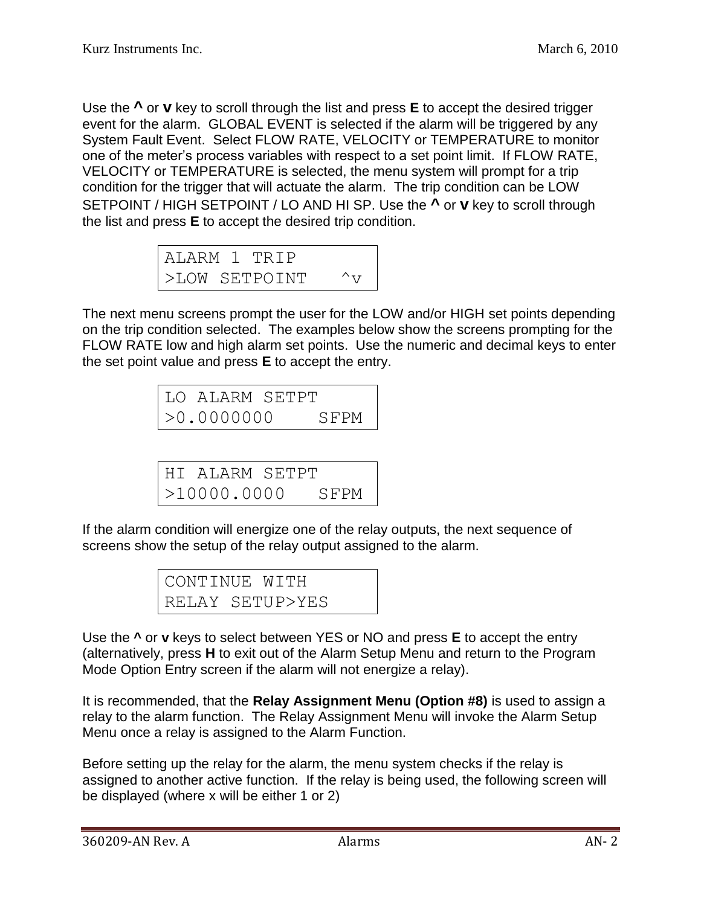Use the **^** or **v** key to scroll through the list and press **E** to accept the desired trigger event for the alarm. GLOBAL EVENT is selected if the alarm will be triggered by any System Fault Event. Select FLOW RATE, VELOCITY or TEMPERATURE to monitor one of the meter's process variables with respect to a set point limit. If FLOW RATE, VELOCITY or TEMPERATURE is selected, the menu system will prompt for a trip condition for the trigger that will actuate the alarm. The trip condition can be LOW SETPOINT / HIGH SETPOINT / LO AND HI SP. Use the **^** or **v** key to scroll through the list and press **E** to accept the desired trip condition.

|  | ALARM 1 TRIP  |               |
|--|---------------|---------------|
|  | >LOW SETPOINT | $\wedge_{77}$ |

The next menu screens prompt the user for the LOW and/or HIGH set points depending on the trip condition selected. The examples below show the screens prompting for the FLOW RATE low and high alarm set points. Use the numeric and decimal keys to enter the set point value and press **E** to accept the entry.

| LO ALARM SETPT |      |
|----------------|------|
| >0.0000000     | SFPM |

HI ALARM SETPT >10000.0000 SFPM

If the alarm condition will energize one of the relay outputs, the next sequence of screens show the setup of the relay output assigned to the alarm.

| CONTINUE WITH |                 |
|---------------|-----------------|
|               | RELAY SETUP>YES |

Use the **^** or **v** keys to select between YES or NO and press **E** to accept the entry (alternatively, press **H** to exit out of the Alarm Setup Menu and return to the Program Mode Option Entry screen if the alarm will not energize a relay).

It is recommended, that the **Relay Assignment Menu (Option #8)** is used to assign a relay to the alarm function. The Relay Assignment Menu will invoke the Alarm Setup Menu once a relay is assigned to the Alarm Function.

Before setting up the relay for the alarm, the menu system checks if the relay is assigned to another active function. If the relay is being used, the following screen will be displayed (where x will be either 1 or 2)